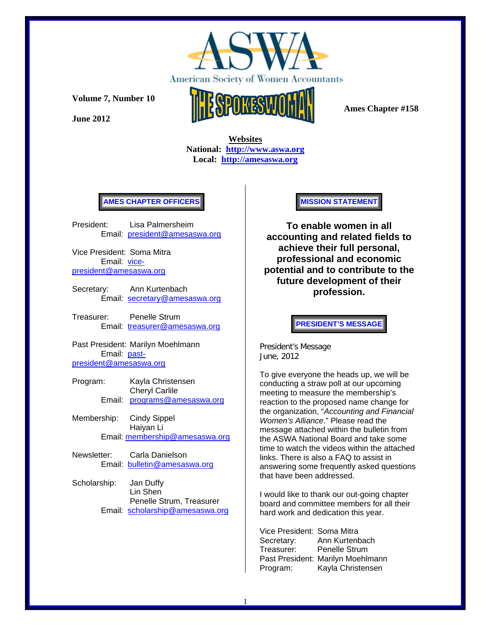

**June 2012** 



 **Ames Chapter #158** 

 **Websites National: http://www.aswa.org Local: http://amesaswa.org**

### **AMES CHAPTER OFFICERS**

President: Lisa Palmersheim Email: president@amesaswa.org

Vice President: Soma Mitra Email: vicepresident@amesaswa.org

- Secretary: Ann Kurtenbach Email: secretary@amesaswa.org
- Treasurer: Penelle Strum Email: treasurer@amesaswa.org

Past President: Marilyn Moehlmann Email: pastpresident@amesaswa.org

- Program: Kayla Christensen Cheryl Carlile Email: programs@amesaswa.org
- Membership: Cindy Sippel Haiyan Li Email: membership@amesaswa.org
- Newsletter: Carla Danielson Email: bulletin@amesaswa.org
- Scholarship: Jan Duffy Lin Shen Penelle Strum, Treasurer Email: scholarship@amesaswa.org

**MISSION STATEMENT** 

**To enable women in all accounting and related fields to achieve their full personal, professional and economic potential and to contribute to the future development of their profession.**

**PRESIDENT'S MESSAGE** 

President's Message June, 2012

To give everyone the heads up, we will be conducting a straw poll at our upcoming meeting to measure the membership's reaction to the proposed name change for the organization, "*Accounting and Financial Women's Alliance*." Please read the message attached within the bulletin from the ASWA National Board and take some time to watch the videos within the attached links. There is also a FAQ to assist in answering some frequently asked questions that have been addressed.

I would like to thank our out-going chapter board and committee members for all their hard work and dedication this year.

Vice President: Soma Mitra Secretary: Ann Kurtenbach Treasurer: Penelle Strum Past President: Marilyn Moehlmann Program: Kayla Christensen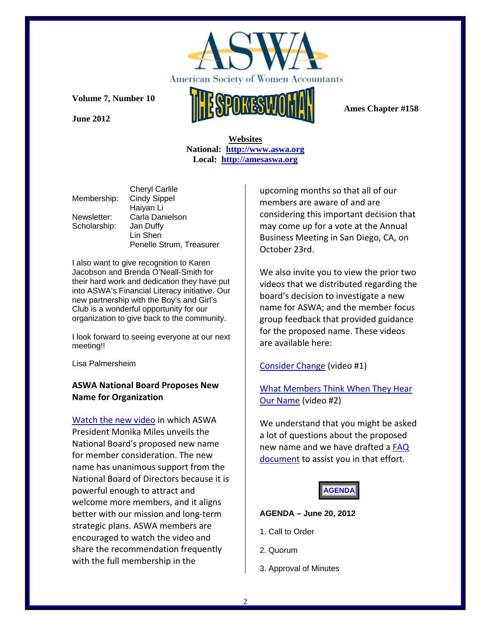

**June 2012** 



 **Ames Chapter #158** 

 **Websites National: http://www.aswa.org Local: http://amesaswa.org**

|              | <b>Cheryl Carlile</b>    |
|--------------|--------------------------|
| Membership:  | <b>Cindy Sippel</b>      |
|              | Haiyan Li                |
| Newsletter:  | Carla Danielson          |
| Scholarship: | Jan Duffy                |
|              | Lin Shen                 |
|              | Penelle Strum, Treasurer |

I also want to give recognition to Karen Jacobson and Brenda O'Neall-Smith for their hard work and dedication they have put into ASWA's Financial Literacy initiative. Our new partnership with the Boy's and Girl's Club is a wonderful opportunity for our organization to give back to the community.

I look forward to seeing everyone at our next meeting!!

Lisa Palmersheim

# **ASWA National Board Proposes New Name for Organization**

Watch the new video in which ASWA President Monika Miles unveils the National Board's proposed new name for member consideration. The new name has unanimous support from the National Board of Directors because it is powerful enough to attract and welcome more members, and it aligns better with our mission and long‐term strategic plans. ASWA members are encouraged to watch the video and share the recommendation frequently with the full membership in the

upcoming months so that all of our members are aware of and are considering this important decision that may come up for a vote at the Annual Business Meeting in San Diego, CA, on October 23rd.

We also invite you to view the prior two videos that we distributed regarding the board's decision to investigate a new name for ASWA; and the member focus group feedback that provided guidance for the proposed name. These videos are available here:

# Consider Change (video #1)

# What Members Think When They Hear Our Name (video #2)

We understand that you might be asked a lot of questions about the proposed new name and we have drafted a FAQ document to assist you in that effort.

# **AGENDA**

## **AGENDA – June 20, 2012**

- 1. Call to Order
- 2. Quorum
- 3. Approval of Minutes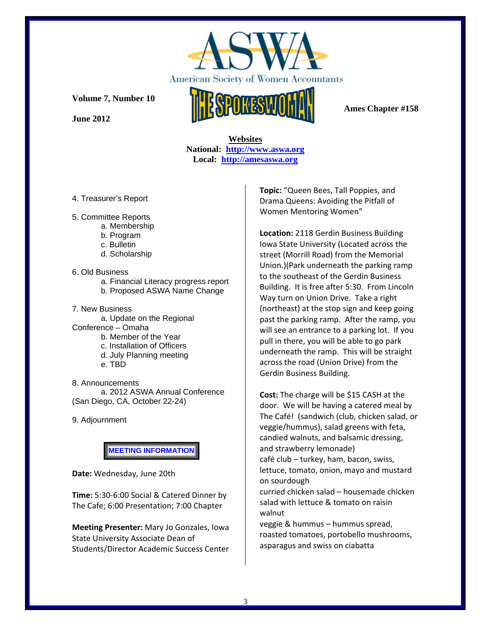

**June 2012** 



 **Ames Chapter #158** 

## **Websites National: http://www.aswa.org Local: http://amesaswa.org**

- 4. Treasurer's Report
- 5. Committee Reports
	- a. Membership
		- b. Program
		- c. Bulletin
		- d. Scholarship

#### 6. Old Business

- a. Financial Literacy progress report
- b. Proposed ASWA Name Change

7. New Business a. Update on the Regional Conference – Omaha

- b. Member of the Year
- c. Installation of Officers
- d. July Planning meeting

e. TBD

8. Announcements a. 2012 ASWA Annual Conference (San Diego, CA, October 22-24)

9. Adjournment

**MEETING INFORMATION** 

**Date:** Wednesday, June 20th

**Time:** 5:30‐6:00 Social & Catered Dinner by The Cafe; 6:00 Presentation; 7:00 Chapter

**Meeting Presenter:** Mary Jo Gonzales, Iowa State University Associate Dean of Students/Director Academic Success Center **Topic:** "Queen Bees, Tall Poppies, and Drama Queens: Avoiding the Pitfall of Women Mentoring Women"

**Location:** 2118 Gerdin Business Building Iowa State University (Located across the street (Morrill Road) from the Memorial Union.)(Park underneath the parking ramp to the southeast of the Gerdin Business Building. It is free after 5:30. From Lincoln Way turn on Union Drive. Take a right (northeast) at the stop sign and keep going past the parking ramp. After the ramp, you will see an entrance to a parking lot. If you pull in there, you will be able to go park underneath the ramp. This will be straight across the road (Union Drive) from the Gerdin Business Building.

**Cost:** The charge will be \$15 CASH at the door. We will be having a catered meal by The Café! (sandwich (club, chicken salad, or veggie/hummus), salad greens with feta, candied walnuts, and balsamic dressing, and strawberry lemonade) café club – turkey, ham, bacon, swiss, lettuce, tomato, onion, mayo and mustard

on sourdough curried chicken salad – housemade chicken salad with lettuce & tomato on raisin walnut

veggie & hummus – hummus spread, roasted tomatoes, portobello mushrooms, asparagus and swiss on ciabatta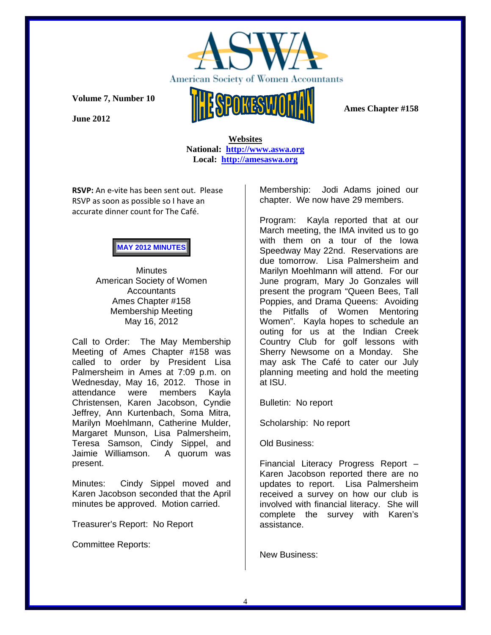

**June 2012** 

 **Websites National: http://www.aswa.org Local: http://amesaswa.org**

**RSVP:** An e‐vite has been sent out. Please RSVP as soon as possible so I have an accurate dinner count for The Café.

# **MAY 2012 MINUTES**

**Minutes** American Society of Women **Accountants** Ames Chapter #158 Membership Meeting May 16, 2012

Call to Order: The May Membership Meeting of Ames Chapter #158 was called to order by President Lisa Palmersheim in Ames at 7:09 p.m. on Wednesday, May 16, 2012. Those in attendance were members Kayla Christensen, Karen Jacobson, Cyndie Jeffrey, Ann Kurtenbach, Soma Mitra, Marilyn Moehlmann, Catherine Mulder, Margaret Munson, Lisa Palmersheim, Teresa Samson, Cindy Sippel, and Jaimie Williamson. A quorum was present.

Minutes: Cindy Sippel moved and Karen Jacobson seconded that the April minutes be approved. Motion carried.

Treasurer's Report: No Report

Committee Reports:

Membership: Jodi Adams joined our chapter. We now have 29 members.

Program: Kayla reported that at our March meeting, the IMA invited us to go with them on a tour of the Iowa Speedway May 22nd. Reservations are due tomorrow. Lisa Palmersheim and Marilyn Moehlmann will attend. For our June program, Mary Jo Gonzales will present the program "Queen Bees, Tall Poppies, and Drama Queens: Avoiding the Pitfalls of Women Mentoring Women". Kayla hopes to schedule an outing for us at the Indian Creek Country Club for golf lessons with Sherry Newsome on a Monday. She may ask The Café to cater our July planning meeting and hold the meeting at ISU.

Bulletin: No report

Scholarship: No report

Old Business:

Financial Literacy Progress Report – Karen Jacobson reported there are no updates to report. Lisa Palmersheim received a survey on how our club is involved with financial literacy. She will complete the survey with Karen's assistance.

New Business: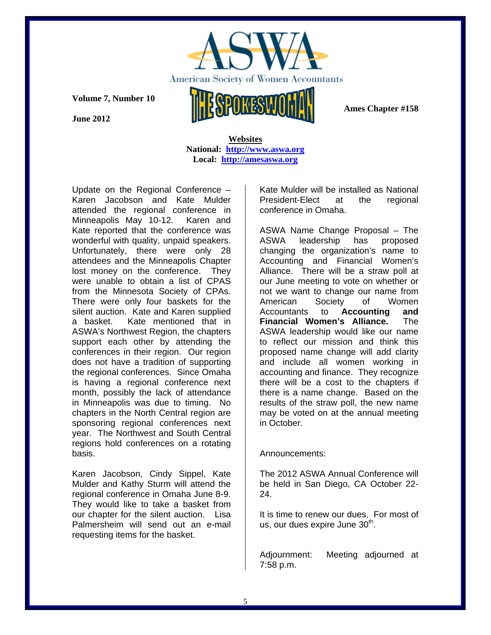

 **Ames Chapter #158** 

**Volume 7, Number 10** 

**June 2012** 

 **Websites National: http://www.aswa.org Local: http://amesaswa.org**

Update on the Regional Conference – Karen Jacobson and Kate Mulder attended the regional conference in Minneapolis May 10-12. Karen and Kate reported that the conference was wonderful with quality, unpaid speakers. Unfortunately, there were only 28 attendees and the Minneapolis Chapter lost money on the conference. They were unable to obtain a list of CPAS from the Minnesota Society of CPAs. There were only four baskets for the silent auction. Kate and Karen supplied a basket. Kate mentioned that in ASWA's Northwest Region, the chapters support each other by attending the conferences in their region. Our region does not have a tradition of supporting the regional conferences. Since Omaha is having a regional conference next month, possibly the lack of attendance in Minneapolis was due to timing. No chapters in the North Central region are sponsoring regional conferences next year. The Northwest and South Central regions hold conferences on a rotating basis.

Karen Jacobson, Cindy Sippel, Kate Mulder and Kathy Sturm will attend the regional conference in Omaha June 8-9. They would like to take a basket from our chapter for the silent auction. Lisa Palmersheim will send out an e-mail requesting items for the basket.

Kate Mulder will be installed as National President-Elect at the regional conference in Omaha.

ASWA Name Change Proposal – The ASWA leadership has proposed changing the organization's name to Accounting and Financial Women's Alliance. There will be a straw poll at our June meeting to vote on whether or not we want to change our name from American Society of Women Accountants to **Accounting and Financial Women's Alliance.** The ASWA leadership would like our name to reflect our mission and think this proposed name change will add clarity and include all women working in accounting and finance. They recognize there will be a cost to the chapters if there is a name change. Based on the results of the straw poll, the new name may be voted on at the annual meeting in October.

### Announcements:

The 2012 ASWA Annual Conference will be held in San Diego, CA October 22- 24.

It is time to renew our dues. For most of us, our dues expire June  $30<sup>th</sup>$ .

Adjournment: Meeting adjourned at 7:58 p.m.